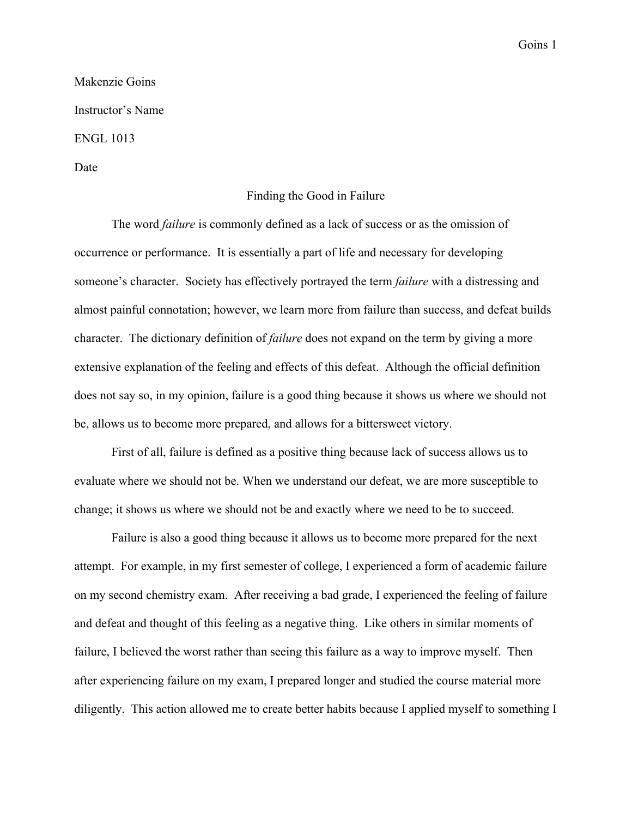## Goins 1

## Makenzie Goins Instructor's Name ENGL 1013

Date

## Finding the Good in Failure

The word *failure* is commonly defined as a lack of success or as the omission of occurrence or performance. It is essentially a part of life and necessary for developing someone's character. Society has effectively portrayed the term *failure* with a distressing and almost painful connotation; however, we learn more from failure than success, and defeat builds character. The dictionary definition of *failure* does not expand on the term by giving a more extensive explanation of the feeling and effects of this defeat. Although the official definition does not say so, in my opinion, failure is a good thing because it shows us where we should not be, allows us to become more prepared, and allows for a bittersweet victory.

First of all, failure is defined as a positive thing because lack of success allows us to evaluate where we should not be. When we understand our defeat, we are more susceptible to change; it shows us where we should not be and exactly where we need to be to succeed.

Failure is also a good thing because it allows us to become more prepared for the next attempt. For example, in my first semester of college, I experienced a form of academic failure on my second chemistry exam. After receiving a bad grade, I experienced the feeling of failure and defeat and thought of this feeling as a negative thing. Like others in similar moments of failure, I believed the worst rather than seeing this failure as a way to improve myself. Then after experiencing failure on my exam, I prepared longer and studied the course material more diligently. This action allowed me to create better habits because I applied myself to something I